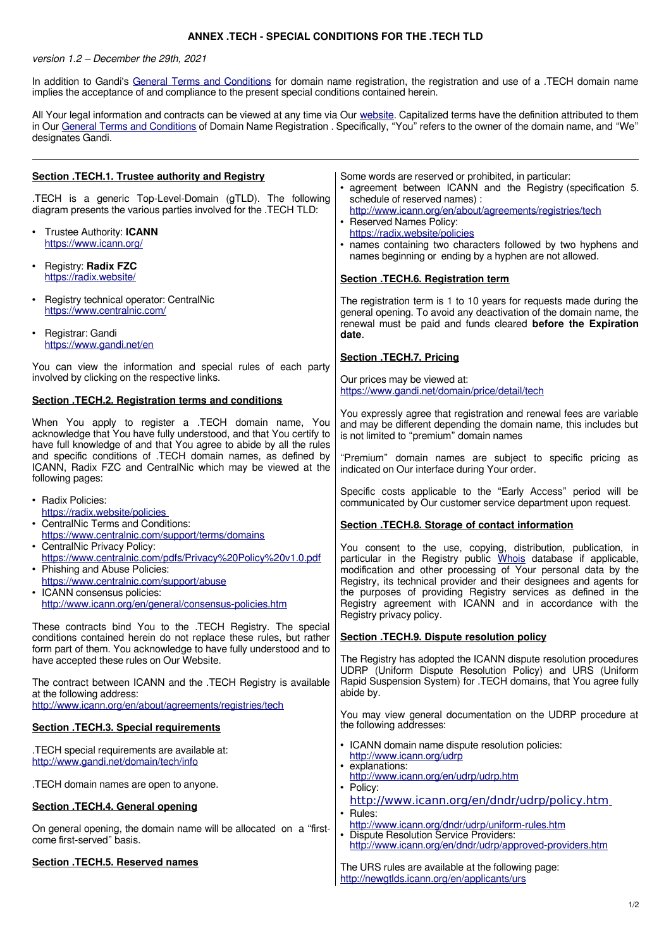## **ANNEX .TECH - SPECIAL CONDITIONS FOR THE .TECH TLD**

version 1.2 – December the 29th, 2021

In addition to Gandi's [General Terms and Conditions](http://www.gandi.net/contracts) for domain name registration, the registration and use of a .TECH domain name implies the acceptance of and compliance to the present special conditions contained herein.

All Your legal information and contracts can be viewed at any time via Our [website.](http://www.gandi.net/) Capitalized terms have the definition attributed to them in Our [General Terms and Conditions](http://www.gandi.net/contracts) of Domain Name Registration . Specifically, "You" refers to the owner of the domain name, and "We" designates Gandi.

| Section .TECH.1. Trustee authority and Registry<br>.TECH is a generic Top-Level-Domain (gTLD). The following<br>diagram presents the various parties involved for the .TECH TLD:<br>• Trustee Authority: ICANN<br>https://www.icann.org/<br>• Registry: Radix FZC<br>https://radix.website/                                                                                                                         | Some words are reserved or prohibited, in particular:<br>• agreement between ICANN and the Registry (specification 5.<br>schedule of reserved names) :<br>http://www.icann.org/en/about/agreements/registries/tech<br>• Reserved Names Policy:<br>https://radix.website/policies<br>• names containing two characters followed by two hyphens and<br>names beginning or ending by a hyphen are not allowed.<br>Section .TECH.6. Registration term                                                                                                                                                                         |
|---------------------------------------------------------------------------------------------------------------------------------------------------------------------------------------------------------------------------------------------------------------------------------------------------------------------------------------------------------------------------------------------------------------------|---------------------------------------------------------------------------------------------------------------------------------------------------------------------------------------------------------------------------------------------------------------------------------------------------------------------------------------------------------------------------------------------------------------------------------------------------------------------------------------------------------------------------------------------------------------------------------------------------------------------------|
| Registry technical operator: CentralNic<br>$\bullet$<br>https://www.centralnic.com/<br>• Registrar: Gandi<br>https://www.gandi.net/en                                                                                                                                                                                                                                                                               | The registration term is 1 to 10 years for requests made during the<br>general opening. To avoid any deactivation of the domain name, the<br>renewal must be paid and funds cleared before the Expiration<br>date.<br>Section .TECH.7. Pricing                                                                                                                                                                                                                                                                                                                                                                            |
| You can view the information and special rules of each party<br>involved by clicking on the respective links.<br>Section .TECH.2. Registration terms and conditions                                                                                                                                                                                                                                                 | Our prices may be viewed at:<br>https://www.gandi.net/domain/price/detail/tech                                                                                                                                                                                                                                                                                                                                                                                                                                                                                                                                            |
| When You apply to register a .TECH domain name, You<br>acknowledge that You have fully understood, and that You certify to<br>have full knowledge of and that You agree to abide by all the rules<br>and specific conditions of .TECH domain names, as defined by<br>ICANN, Radix FZC and CentralNic which may be viewed at the<br>following pages:                                                                 | You expressly agree that registration and renewal fees are variable<br>and may be different depending the domain name, this includes but<br>is not limited to "premium" domain names<br>"Premium" domain names are subject to specific pricing as<br>indicated on Our interface during Your order.                                                                                                                                                                                                                                                                                                                        |
| • Radix Policies:<br>https://radix.website/policies<br>• CentralNic Terms and Conditions:<br>https://www.centralnic.com/support/terms/domains<br>• CentralNic Privacy Policy:<br>https://www.centralnic.com/pdfs/Privacy%20Policy%20v1.0.pdf<br>• Phishing and Abuse Policies:<br>https://www.centralnic.com/support/abuse<br>• ICANN consensus policies:<br>http://www.icann.org/en/general/consensus-policies.htm | Specific costs applicable to the "Early Access" period will be<br>communicated by Our customer service department upon request.<br>Section .TECH.8. Storage of contact information<br>You consent to the use, copying, distribution, publication, in<br>particular in the Registry public Whois database if applicable,<br>modification and other processing of Your personal data by the<br>Registry, its technical provider and their designees and agents for<br>the purposes of providing Registry services as defined in the<br>Registry agreement with ICANN and in accordance with the<br>Registry privacy policy. |
| These contracts bind You to the .TECH Registry. The special<br>conditions contained herein do not replace these rules, but rather<br>form part of them. You acknowledge to have fully understood and to<br>have accepted these rules on Our Website.<br>The contract between ICANN and the .TECH Registry is available<br>at the following address:                                                                 | Section .TECH.9. Dispute resolution policy<br>The Registry has adopted the ICANN dispute resolution procedures<br>UDRP (Uniform Dispute Resolution Policy) and URS (Uniform<br>Rapid Suspension System) for .TECH domains, that You agree fully<br>abide by.                                                                                                                                                                                                                                                                                                                                                              |
| http://www.icann.org/en/about/agreements/registries/tech<br><b>Section .TECH.3. Special requirements</b>                                                                                                                                                                                                                                                                                                            | You may view general documentation on the UDRP procedure at<br>the following addresses:                                                                                                                                                                                                                                                                                                                                                                                                                                                                                                                                   |
| .TECH special requirements are available at:<br>http://www.gandi.net/domain/tech/info<br>.TECH domain names are open to anyone.                                                                                                                                                                                                                                                                                     | • ICANN domain name dispute resolution policies:<br>http://www.icann.org/udrp<br>• explanations:<br>http://www.icann.org/en/udrp/udrp.htm<br>• Policy:                                                                                                                                                                                                                                                                                                                                                                                                                                                                    |
| Section .TECH.4. General opening<br>On general opening, the domain name will be allocated on a "first-                                                                                                                                                                                                                                                                                                              | http://www.icann.org/en/dndr/udrp/policy.htm<br>• Rules:<br>http://www.icann.org/dndr/udrp/uniform-rules.htm                                                                                                                                                                                                                                                                                                                                                                                                                                                                                                              |
| come first-served" basis.<br><b>Section .TECH.5. Reserved names</b>                                                                                                                                                                                                                                                                                                                                                 | • Dispute Resolution Service Providers:<br>http://www.icann.org/en/dndr/udrp/approved-providers.htm<br>The URS rules are available at the following page:<br>http://newgtlds.icann.org/en/applicants/urs                                                                                                                                                                                                                                                                                                                                                                                                                  |